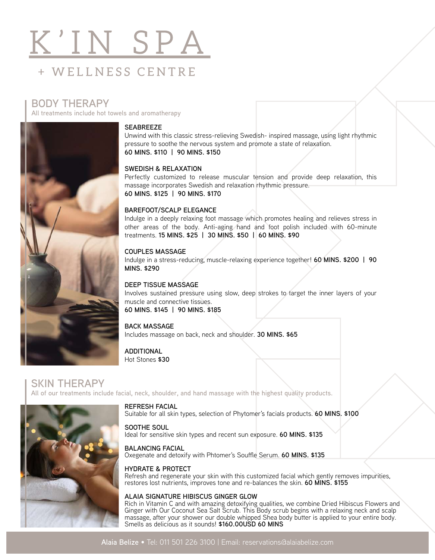# K'IN SPA + WELLNESS CENTRE

### **BODY THERAPY**

**All treatments include hot towels and aromatherapy**



#### **SEABREEZE**

Unwind with this classic stress-relieving Swedish- inspired massage, using light rhythmic pressure to soothe the nervous system and promote a state of relaxation. **60 MINS. \$110 | 90 MINS. \$150**

#### **SWEDISH & RELAXATION**

Perfectly customized to release muscular tension and provide deep relaxation, this massage incorporates Swedish and relaxation rhythmic pressure. **60 MINS. \$125 | 90 MINS. \$170**

#### **BAREFOOT/SCALP ELEGANCE**

Indulge in a deeply relaxing foot massage which promotes healing and relieves stress in other areas of the body. Anti-aging hand and foot polish included with 60-minute treatments. **15 MINS. \$25 | 30 MINS. \$50 | 60 MINS. \$90**

#### **COUPLES MASSAGE**

Indulge in a stress-reducing, muscle-relaxing experience together! **60 MINS. \$200 | 90 MINS. \$290**

#### **DEEP TISSUE MASSAGE**

Involves sustained pressure using slow, deep strokes to target the inner layers of your muscle and connective tissues. **60 MINS. \$145 | 90 MINS. \$185**

#### **BACK MASSAGE**

Includes massage on back, neck and shoulder. **30 MINS. \$65**

**ADDITIONAL** Hot Stones **\$30**

**SKIN THERAPY All of our treatments include facial, neck, shoulder, and hand massage with the highest quality products.**



**REFRESH FACIAL** Suitable for all skin types, selection of Phytomer's facials products. **60 MINS. \$100**

#### **SOOTHE SOUL**

Ideal for sensitive skin types and recent sun exposure. **60 MINS. \$135** 

#### **BALANCING FACIAL**

Oxegenate and detoxify with Phtomer's Souffle Serum. 60 MINS. \$135

#### **HYDRATE & PROTECT**

Refresh and regenerate your skin with this customized facial which gently removes impurities, restores lost nutrients, improves tone and re-balances the skin. **60 MINS. \$155**

#### **ALAIA SIGNATURE HIBISCUS GINGER GLOW**

Rich in Vitamin C and with amazing detoxifying qualities, we combine Dried Hibiscus Flowers and Ginger with Our Coconut Sea Salt Scrub. This Body scrub begins with a relaxing neck and scalp massage, after your shower our double whipped Shea body butter is applied to your entire body. Smells as delicious as it sounds! **\$160.00USD 60 MINS**